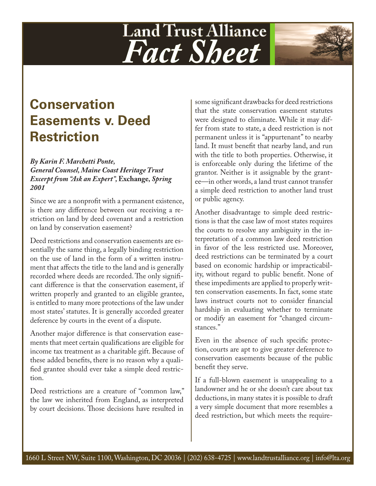## **Land Trust Alliance** *Fact Sheet*



## *By Karin F. Marchetti Ponte, General Counsel, Maine Coast Heritage Trust Excerpt from "Ask an Expert",* **Exchange***, Spring 2001*

Since we are a nonprofit with a permanent existence, is there any difference between our receiving a restriction on land by deed covenant and a restriction on land by conservation easement?

Deed restrictions and conservation easements are essentially the same thing, a legally binding restriction on the use of land in the form of a written instrument that affects the title to the land and is generally recorded where deeds are recorded. The only significant difference is that the conservation easement, if written properly and granted to an eligible grantee, is entitled to many more protections of the law under most states' statutes. It is generally accorded greater deference by courts in the event of a dispute.

Another major difference is that conservation easements that meet certain qualifications are eligible for income tax treatment as a charitable gift. Because of these added benefits, there is no reason why a qualified grantee should ever take a simple deed restriction.

Deed restrictions are a creature of "common law," the law we inherited from England, as interpreted by court decisions. Those decisions have resulted in

some significant drawbacks for deed restrictions that the state conservation easement statutes were designed to eliminate. While it may differ from state to state, a deed restriction is not permanent unless it is "appurtenant" to nearby land. It must benefit that nearby land, and run with the title to both properties. Otherwise, it is enforceable only during the lifetime of the grantor. Neither is it assignable by the grantee—in other words, a land trust cannot transfer a simple deed restriction to another land trust or public agency.

Another disadvantage to simple deed restrictions is that the case law of most states requires the courts to resolve any ambiguity in the interpretation of a common law deed restriction in favor of the less restricted use. Moreover, deed restrictions can be terminated by a court based on economic hardship or impracticability, without regard to public benefit. None of these impediments are applied to properly written conservation easements. In fact, some state laws instruct courts not to consider financial hardship in evaluating whether to terminate or modify an easement for "changed circumstances."

Even in the absence of such specific protection, courts are apt to give greater deference to conservation easements because of the public benefit they serve.

If a full-blown easement is unappealing to a landowner and he or she doesn't care about tax deductions, in many states it is possible to draft a very simple document that more resembles a deed restriction, but which meets the require-